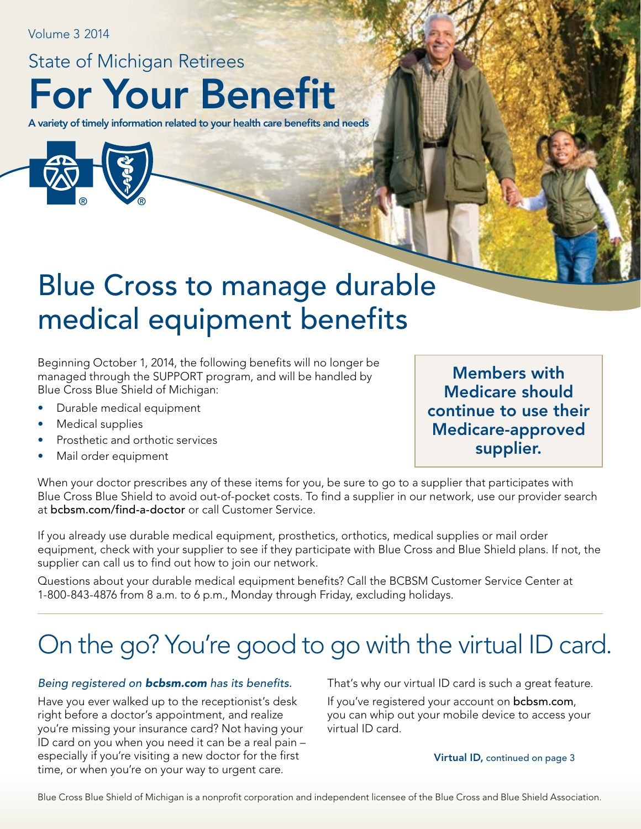Volume 3 2014

# For Your Benefit State of Michigan Retirees

A variety of timely information related to your health care benefits and needs



# Blue Cross to manage durable medical equipment benefits

Beginning October 1, 2014, the following benefits will no longer be managed through the SUPPORT program, and will be handled by Blue Cross Blue Shield of Michigan:

- Durable medical equipment
- Medical supplies
- Prosthetic and orthotic services
- Mail order equipment

Members with Medicare should continue to use their Medicare-approved supplier.

When your doctor prescribes any of these items for you, be sure to go to a supplier that participates with Blue Cross Blue Shield to avoid out-of-pocket costs. To find a supplier in our network, use our provider search at bcbsm.com/find-a-doctor or call Customer Service.

If you already use durable medical equipment, prosthetics, orthotics, medical supplies or mail order equipment, check with your supplier to see if they participate with Blue Cross and Blue Shield plans. If not, the supplier can call us to find out how to join our network.

Questions about your durable medical equipment benefits? Call the BCBSM Customer Service Center at 1-800-843-4876 from 8 a.m. to 6 p.m., Monday through Friday, excluding holidays.

## On the go? You're good to go with the virtual ID card.

#### *Being registered on bcbsm.com has its benefits.*

Have you ever walked up to the receptionist's desk right before a doctor's appointment, and realize you're missing your insurance card? Not having your ID card on you when you need it can be a real pain – especially if you're visiting a new doctor for the first time, or when you're on your way to urgent care.

That's why our virtual ID card is such a great feature.

If you've registered your account on **bcbsm.com**, you can whip out your mobile device to access your virtual ID card.

Virtual ID, continued on page 3

Blue Cross Blue Shield of Michigan is a nonprofit corporation and independent licensee of the Blue Cross and Blue Shield Association.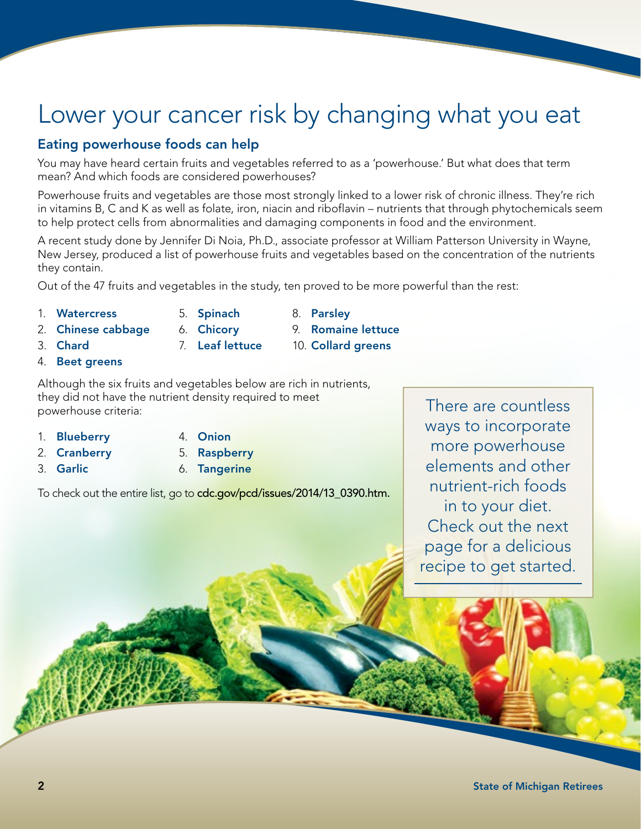### Lower your cancer risk by changing what you eat

#### Eating powerhouse foods can help

You may have heard certain fruits and vegetables referred to as a 'powerhouse.' But what does that term mean? And which foods are considered powerhouses?

Powerhouse fruits and vegetables are those most strongly linked to a lower risk of chronic illness. They're rich in vitamins B, C and K as well as folate, iron, niacin and riboflavin – nutrients that through phytochemicals seem to help protect cells from abnormalities and damaging components in food and the environment.

A recent study done by Jennifer Di Noia, Ph.D., associate professor at William Patterson University in Wayne, New Jersey, produced a list of powerhouse fruits and vegetables based on the concentration of the nutrients they contain.

8. Parsley

9. Romaine lettuce 10. Collard greens

Out of the 47 fruits and vegetables in the study, ten proved to be more powerful than the rest:

- 1. Watercress
- 2. Chinese cabbage
- 3. Chard
- 4. Beet greens

Although the six fruits and vegetables below are rich in nutrients, they did not have the nutrient density required to meet powerhouse criteria:

5. Spinach 6. Chicory 7. Leaf lettuce

- 1. Blueberry
- 4. Onion
- 2. Cranberry
- 3. Garlic
- 5. Raspberry
- 6. Tangerine

To check out the entire list, go to cdc.gov/pcd/issues/2014/13\_0390.htm.

There are countless ways to incorporate more powerhouse elements and other nutrient-rich foods in to your diet. Check out the next page for a delicious recipe to get started.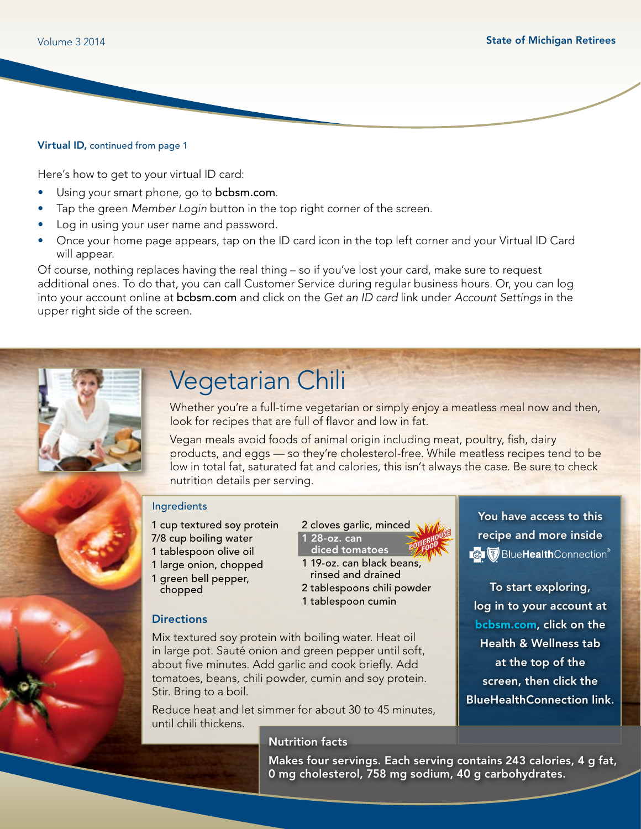#### Virtual ID, continued from page 1

Here's how to get to your virtual ID card:

- Using your smart phone, go to bcbsm.com.
- Tap the green *Member Login* button in the top right corner of the screen.
- Log in using your user name and password.
- Once your home page appears, tap on the ID card icon in the top left corner and your Virtual ID Card will appear.

Of course, nothing replaces having the real thing – so if you've lost your card, make sure to request additional ones. To do that, you can call Customer Service during regular business hours. Or, you can log into your account online at bcbsm.com and click on the *Get an ID card* link under *Account Settings* in the upper right side of the screen.

### Vegetarian Chili

Whether you're a full-time vegetarian or simply enjoy a meatless meal now and then, look for recipes that are full of flavor and low in fat.

Vegan meals avoid foods of animal origin including meat, poultry, fish, dairy products, and eggs — so they're cholesterol-free. While meatless recipes tend to be low in total fat, saturated fat and calories, this isn't always the case. Be sure to check nutrition details per serving.

#### Ingredients

- 1 cup textured soy protein
- 7/8 cup boiling water
- 1 tablespoon olive oil
- 1 large onion, chopped 1 green bell pepper,
- chopped

#### **Directions**

Mix textured soy protein with boiling water. Heat oil in large pot. Sauté onion and green pepper until soft, about five minutes. Add garlic and cook briefly. Add tomatoes, beans, chili powder, cumin and soy protein. Stir. Bring to a boil.

Reduce heat and let simmer for about 30 to 45 minutes, until chili thickens.

#### Nutrition facts

2 cloves garlic, minced 1 28-oz. can diced tomatoes **POWERHOUSE** 

1 19-oz. can black beans, rinsed and drained 2 tablespoons chili powder 1 tablespoon cumin

You have access to this recipe and more inside **BlueHealthConnection**®

To start exploring, log in to your account at bcbsm.com, click on the Health & Wellness tab at the top of the screen, then click the BlueHealthConnection link.

Makes four servings. Each serving contains 243 calories, 4 g fat, 0 mg cholesterol, 758 mg sodium, 40 g carbohydrates.